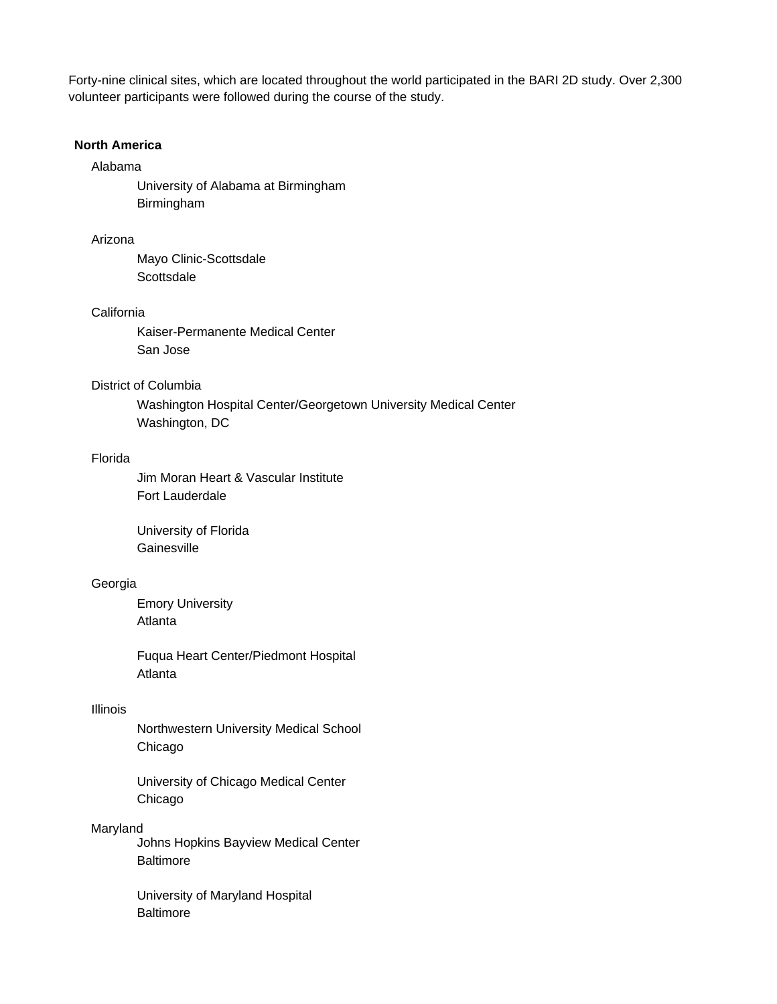Forty-nine clinical sites, which are located throughout the world participated in the BARI 2D study. Over 2,300 volunteer participants were followed during the course of the study.

## **North America**

# Alabama

 University of Alabama at Birmingham Birmingham

## Arizona

 Mayo Clinic-Scottsdale **Scottsdale** 

### **California**

 Kaiser-Permanente Medical Center San Jose

## District of Columbia

 Washington Hospital Center/Georgetown University Medical Center Washington, DC

#### Florida

 Jim Moran Heart & Vascular Institute Fort Lauderdale

 University of Florida **Gainesville** 

### Georgia

 Emory University Atlanta

 Fuqua Heart Center/Piedmont Hospital Atlanta

#### Illinois

 Northwestern University Medical School Chicago

 University of Chicago Medical Center Chicago

### Maryland

 Johns Hopkins Bayview Medical Center **Baltimore** 

 University of Maryland Hospital **Baltimore**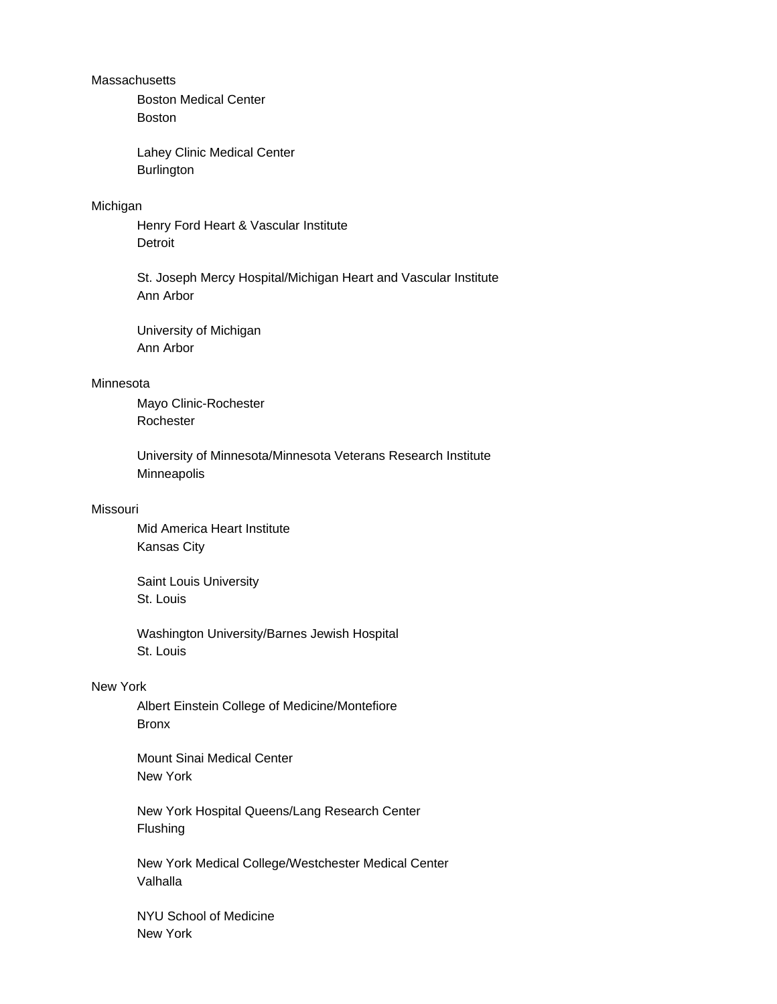### **Massachusetts**

 Boston Medical Center Boston

 Lahey Clinic Medical Center **Burlington** 

### Michigan

 Henry Ford Heart & Vascular Institute **Detroit** 

 St. Joseph Mercy Hospital/Michigan Heart and Vascular Institute Ann Arbor

 University of Michigan Ann Arbor

# Minnesota

 Mayo Clinic-Rochester Rochester

 University of Minnesota/Minnesota Veterans Research Institute Minneapolis

# Missouri

 Mid America Heart Institute Kansas City

 Saint Louis University St. Louis

 Washington University/Barnes Jewish Hospital St. Louis

## New York

 Albert Einstein College of Medicine/Montefiore Bronx

 Mount Sinai Medical Center New York

 New York Hospital Queens/Lang Research Center Flushing

 New York Medical College/Westchester Medical Center Valhalla

 NYU School of Medicine New York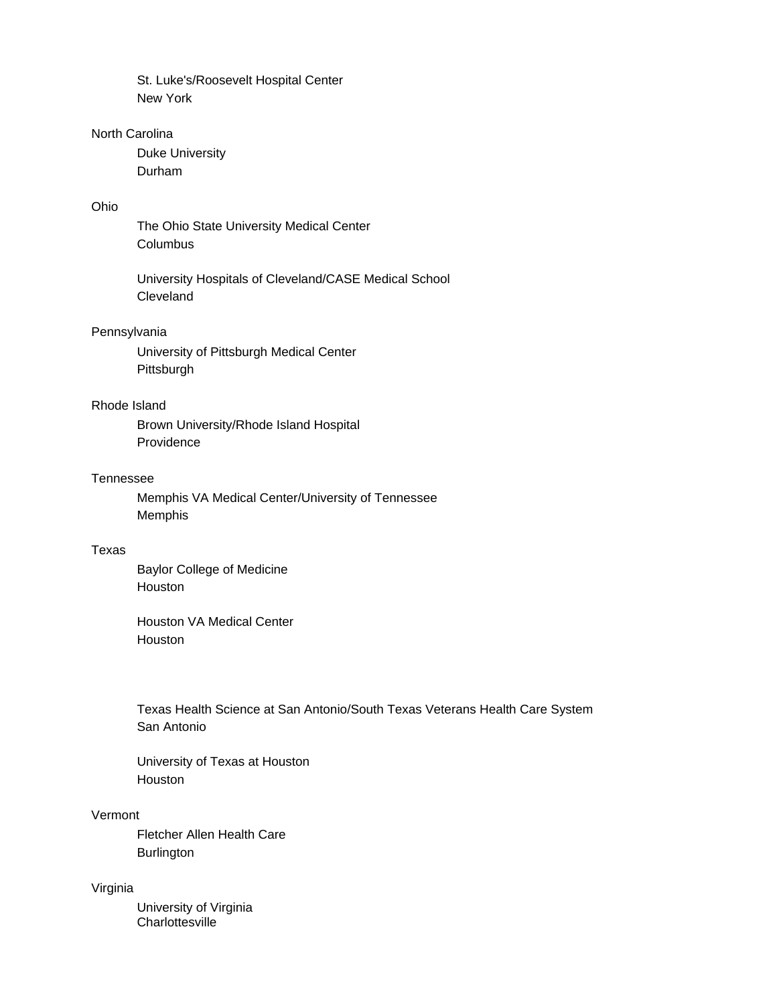St. Luke's/Roosevelt Hospital Center New York

# North Carolina

 Duke University Durham

## Ohio

 The Ohio State University Medical Center Columbus

 University Hospitals of Cleveland/CASE Medical School Cleveland

# Pennsylvania

 University of Pittsburgh Medical Center Pittsburgh

# Rhode Island

 Brown University/Rhode Island Hospital Providence

#### Tennessee

 Memphis VA Medical Center/University of Tennessee Memphis

### Texas

 Baylor College of Medicine Houston

 Houston VA Medical Center Houston

 Texas Health Science at San Antonio/South Texas Veterans Health Care System San Antonio

 University of Texas at Houston Houston

# Vermont

 Fletcher Allen Health Care **Burlington** 

## Virginia

 University of Virginia **Charlottesville**